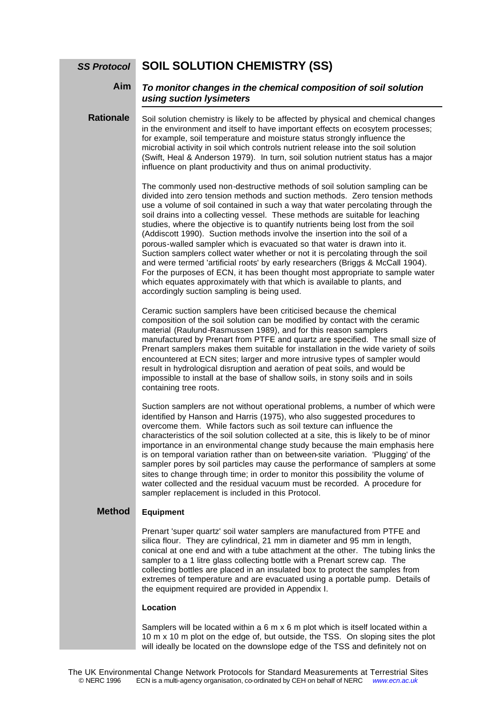#### **SOIL SOLUTION CHEMISTRY (SS)** *SS Protocol*

#### *To monitor changes in the chemical composition of soil solution using suction lysimeters* **Aim**

### Soil solution chemistry is likely to be affected by physical and chemical changes in the environment and itself to have important effects on ecosytem processes; for example, soil temperature and moisture status strongly influence the microbial activity in soil which controls nutrient release into the soil solution (Swift, Heal & Anderson 1979). In turn, soil solution nutrient status has a major influence on plant productivity and thus on animal productivity. **Rationale**

The commonly used non-destructive methods of soil solution sampling can be divided into zero tension methods and suction methods. Zero tension methods use a volume of soil contained in such a way that water percolating through the soil drains into a collecting vessel. These methods are suitable for leaching studies, where the objective is to quantify nutrients being lost from the soil (Addiscott 1990). Suction methods involve the insertion into the soil of a porous-walled sampler which is evacuated so that water is drawn into it. Suction samplers collect water whether or not it is percolating through the soil and were termed 'artificial roots' by early researchers (Briggs & McCall 1904). For the purposes of ECN, it has been thought most appropriate to sample water which equates approximately with that which is available to plants, and accordingly suction sampling is being used.

Ceramic suction samplers have been criticised because the chemical composition of the soil solution can be modified by contact with the ceramic material (Raulund-Rasmussen 1989), and for this reason samplers manufactured by Prenart from PTFE and quartz are specified. The small size of Prenart samplers makes them suitable for installation in the wide variety of soils encountered at ECN sites; larger and more intrusive types of sampler would result in hydrological disruption and aeration of peat soils, and would be impossible to install at the base of shallow soils, in stony soils and in soils containing tree roots.

Suction samplers are not without operational problems, a number of which were identified by Hanson and Harris (1975), who also suggested procedures to overcome them. While factors such as soil texture can influence the characteristics of the soil solution collected at a site, this is likely to be of minor importance in an environmental change study because the main emphasis here is on temporal variation rather than on between-site variation. 'Plugging' of the sampler pores by soil particles may cause the performance of samplers at some sites to change through time; in order to monitor this possibility the volume of water collected and the residual vacuum must be recorded. A procedure for sampler replacement is included in this Protocol.

#### **Equipment Method**

Prenart 'super quartz' soil water samplers are manufactured from PTFE and silica flour. They are cylindrical, 21 mm in diameter and 95 mm in length, conical at one end and with a tube attachment at the other. The tubing links the sampler to a 1 litre glass collecting bottle with a Prenart screw cap. The collecting bottles are placed in an insulated box to protect the samples from extremes of temperature and are evacuated using a portable pump. Details of the equipment required are provided in Appendix I.

### **Location**

Samplers will be located within a 6 m x 6 m plot which is itself located within a 10 m x 10 m plot on the edge of, but outside, the TSS. On sloping sites the plot will ideally be located on the downslope edge of the TSS and definitely not on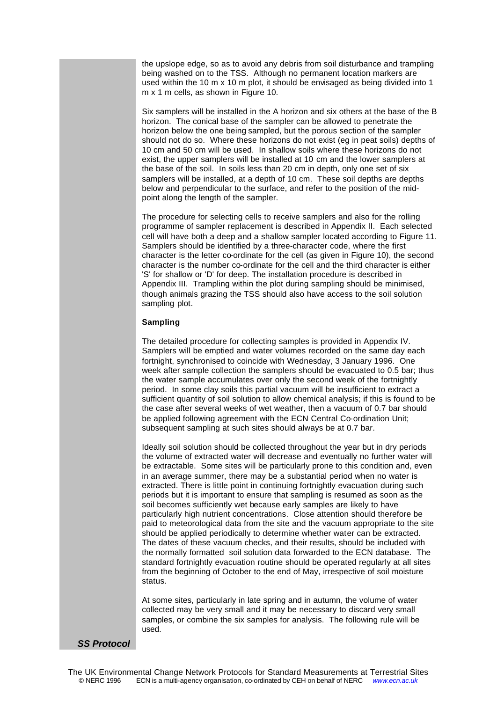the upslope edge, so as to avoid any debris from soil disturbance and trampling being washed on to the TSS. Although no permanent location markers are used within the 10 m x 10 m plot, it should be envisaged as being divided into 1 m x 1 m cells, as shown in Figure 10.

Six samplers will be installed in the A horizon and six others at the base of the B horizon. The conical base of the sampler can be allowed to penetrate the horizon below the one being sampled, but the porous section of the sampler should not do so. Where these horizons do not exist (eg in peat soils) depths of 10 cm and 50 cm will be used. In shallow soils where these horizons do not exist, the upper samplers will be installed at 10 cm and the lower samplers at the base of the soil. In soils less than 20 cm in depth, only one set of six samplers will be installed, at a depth of 10 cm. These soil depths are depths below and perpendicular to the surface, and refer to the position of the midpoint along the length of the sampler.

The procedure for selecting cells to receive samplers and also for the rolling programme of sampler replacement is described in Appendix II. Each selected cell will have both a deep and a shallow sampler located according to Figure 11. Samplers should be identified by a three-character code, where the first character is the letter co-ordinate for the cell (as given in Figure 10), the second character is the number co-ordinate for the cell and the third character is either 'S' for shallow or 'D' for deep. The installation procedure is described in Appendix III. Trampling within the plot during sampling should be minimised, though animals grazing the TSS should also have access to the soil solution sampling plot.

## **Sampling**

The detailed procedure for collecting samples is provided in Appendix IV. Samplers will be emptied and water volumes recorded on the same day each fortnight, synchronised to coincide with Wednesday, 3 January 1996. One week after sample collection the samplers should be evacuated to 0.5 bar; thus the water sample accumulates over only the second week of the fortnightly period. In some clay soils this partial vacuum will be insufficient to extract a sufficient quantity of soil solution to allow chemical analysis; if this is found to be the case after several weeks of wet weather, then a vacuum of 0.7 bar should be applied following agreement with the ECN Central Co-ordination Unit; subsequent sampling at such sites should always be at 0.7 bar.

Ideally soil solution should be collected throughout the year but in dry periods the volume of extracted water will decrease and eventually no further water will be extractable. Some sites will be particularly prone to this condition and, even in an average summer, there may be a substantial period when no water is extracted. There is little point in continuing fortnightly evacuation during such periods but it is important to ensure that sampling is resumed as soon as the soil becomes sufficiently wet because early samples are likely to have particularly high nutrient concentrations. Close attention should therefore be paid to meteorological data from the site and the vacuum appropriate to the site should be applied periodically to determine whether water can be extracted. The dates of these vacuum checks, and their results, should be included with the normally formatted soil solution data forwarded to the ECN database. The standard fortnightly evacuation routine should be operated regularly at all sites from the beginning of October to the end of May, irrespective of soil moisture status.

At some sites, particularly in late spring and in autumn, the volume of water collected may be very small and it may be necessary to discard very small samples, or combine the six samples for analysis. The following rule will be used.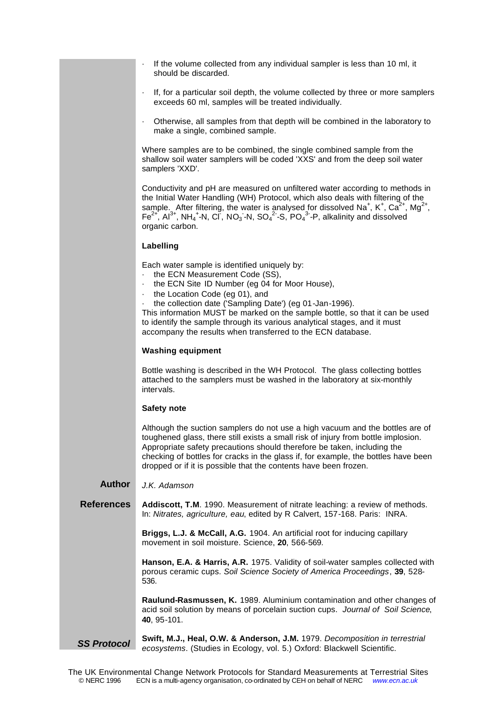| If the volume collected from any individual sampler is less than 10 ml, it |
|----------------------------------------------------------------------------|
| should be discarded.                                                       |

- · If, for a particular soil depth, the volume collected by three or more samplers exceeds 60 ml, samples will be treated individually.
- · Otherwise, all samples from that depth will be combined in the laboratory to make a single, combined sample.

Where samples are to be combined, the single combined sample from the shallow soil water samplers will be coded 'XXS' and from the deep soil water samplers 'XXD'.

Conductivity and pH are measured on unfiltered water according to methods in the Initial Water Handling (WH) Protocol, which also deals with filtering of the sample. After filtering, the water is analysed for dissolved Na<sup>+</sup>, K<sup>+</sup>, Ca<sup>2+</sup>, Mg<sup>2+</sup>,  $\overline{F}e^{2+}$ , Al<sup>3+</sup>, NH<sub>4</sub><sup>+</sup>-N, Cl, NO<sub>3</sub> -N, SO<sub>4</sub><sup>2</sup> -S, PO<sub>4</sub><sup>3</sup> -P, alkalinity and dissolved organic carbon.

## **Labelling**

Each water sample is identified uniquely by:

- the ECN Measurement Code (SS),
- the ECN Site ID Number (eg 04 for Moor House),
- the Location Code (eg 01), and
- the collection date ('Sampling Date') (eg 01-Jan-1996).

This information MUST be marked on the sample bottle, so that it can be used to identify the sample through its various analytical stages, and it must accompany the results when transferred to the ECN database.

## **Washing equipment**

Bottle washing is described in the WH Protocol. The glass collecting bottles attached to the samplers must be washed in the laboratory at six-monthly intervals.

## **Safety note**

Although the suction samplers do not use a high vacuum and the bottles are of toughened glass, there still exists a small risk of injury from bottle implosion. Appropriate safety precautions should therefore be taken, including the checking of bottles for cracks in the glass if, for example, the bottles have been dropped or if it is possible that the contents have been frozen.

#### *J.K. Adamson* **Author**

**Addiscott, T.M**. 1990. Measurement of nitrate leaching: a review of methods. In: *Nitrates, agriculture, eau*, edited by R Calvert, 157-168. Paris: INRA. **References**

> **Briggs, L.J. & McCall, A.G.** 1904. An artificial root for inducing capillary movement in soil moisture. Science, **20**, 566-569.

**Hanson, E.A. & Harris, A.R.** 1975. Validity of soil-water samples collected with porous ceramic cups. *Soil Science Society of America Proceedings*, **39**, 528- 536.

**Raulund-Rasmussen, K.** 1989. Aluminium contamination and other changes of acid soil solution by means of porcelain suction cups. *Journal of Soil Science*, **40**, 95-101.

**Swift, M.J., Heal, O.W. & Anderson, J.M.** 1979. *Decomposition in terrestrial ecosystems*. (Studies in Ecology, vol. 5.) Oxford: Blackwell Scientific. *SS Protocol*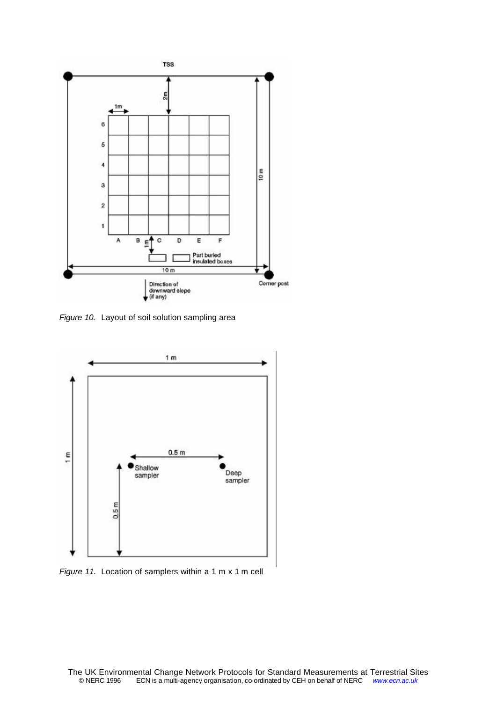

*Figure 10.* Layout of soil solution sampling area



*Figure 11.* Location of samplers within a 1 m x 1 m cell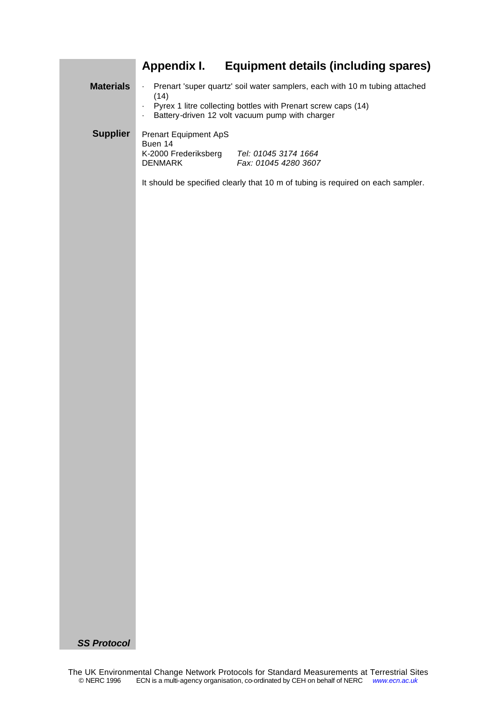# **Appendix I. Equipment details (including spares)**

| <b>Materials</b>   | · Prenart 'super quartz' soil water samplers, each with 10 m tubing attached<br>(14)<br>Pyrex 1 litre collecting bottles with Prenart screw caps (14)<br>Battery-driven 12 volt vacuum pump with charger<br>$\blacksquare$ |  |  |  |  |  |  |
|--------------------|----------------------------------------------------------------------------------------------------------------------------------------------------------------------------------------------------------------------------|--|--|--|--|--|--|
| <b>Supplier</b>    | <b>Prenart Equipment ApS</b><br>Buen 14<br>K-2000 Frederiksberg<br>Tel: 01045 3174 1664<br><b>DENMARK</b><br>Fax: 01045 4280 3607                                                                                          |  |  |  |  |  |  |
|                    | It should be specified clearly that 10 m of tubing is required on each sampler.                                                                                                                                            |  |  |  |  |  |  |
|                    |                                                                                                                                                                                                                            |  |  |  |  |  |  |
|                    |                                                                                                                                                                                                                            |  |  |  |  |  |  |
|                    |                                                                                                                                                                                                                            |  |  |  |  |  |  |
|                    |                                                                                                                                                                                                                            |  |  |  |  |  |  |
|                    |                                                                                                                                                                                                                            |  |  |  |  |  |  |
|                    |                                                                                                                                                                                                                            |  |  |  |  |  |  |
|                    |                                                                                                                                                                                                                            |  |  |  |  |  |  |
|                    |                                                                                                                                                                                                                            |  |  |  |  |  |  |
| <b>SS Protocol</b> |                                                                                                                                                                                                                            |  |  |  |  |  |  |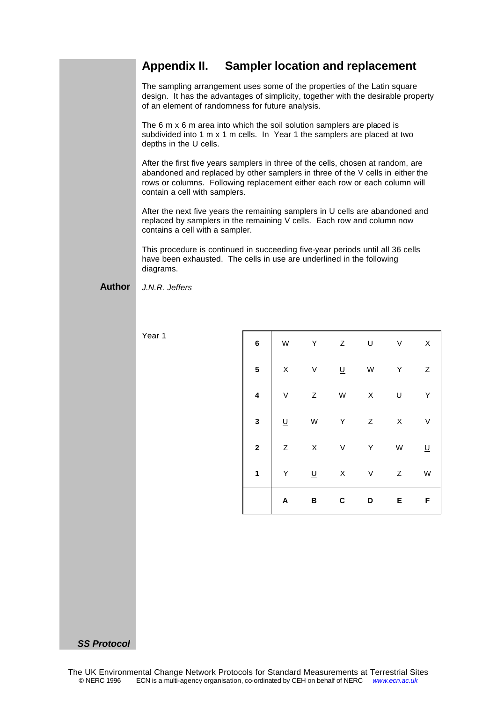## **Appendix II. Sampler location and replacement**

The sampling arrangement uses some of the properties of the Latin square design. It has the advantages of simplicity, together with the desirable property of an element of randomness for future analysis.

The 6 m x 6 m area into which the soil solution samplers are placed is subdivided into 1 m x 1 m cells. In Year 1 the samplers are placed at two depths in the U cells.

After the first five years samplers in three of the cells, chosen at random, are abandoned and replaced by other samplers in three of the V cells in either the rows or columns. Following replacement either each row or each column will contain a cell with samplers.

After the next five years the remaining samplers in U cells are abandoned and replaced by samplers in the remaining V cells. Each row and column now contains a cell with a sampler.

This procedure is continued in succeeding five-year periods until all 36 cells have been exhausted. The cells in use are underlined in the following diagrams.

#### *J.N.R. Jeffers* **Author**

Year 1

| $\bf{6}$                | W        | Υ                        | Z         | $\underline{\mathsf{U}}$ | $\mathsf{V}$ | $\mathsf X$ |
|-------------------------|----------|--------------------------|-----------|--------------------------|--------------|-------------|
| $\overline{\mathbf{5}}$ | X        | V                        | Ц         | W                        | Y            | Z           |
| $\overline{\mathbf{4}}$ | V        | Z                        | ${\sf W}$ | $\mathsf X$              | <u>U</u>     | Y           |
| $\overline{\mathbf{3}}$ | <u>U</u> | W                        | Υ         | $\boldsymbol{Z}$         | X            | V           |
| $\overline{\mathbf{2}}$ | Z        | $\sf X$                  | $\vee$    | Υ                        | W            | <u>U</u>    |
| 1                       | Y        | $\underline{\mathsf{U}}$ | X         | V                        | Z            | W           |
|                         | A        | B                        | C         | D                        | E            | F           |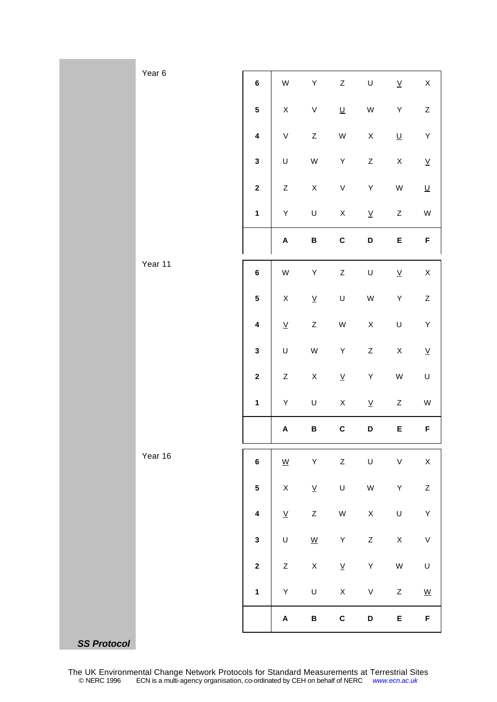|                    | Year 6  |                         |                           |                          |                          |                          |                          |                          |
|--------------------|---------|-------------------------|---------------------------|--------------------------|--------------------------|--------------------------|--------------------------|--------------------------|
|                    |         | $\bf 6$                 | ${\sf W}$                 | $\sf Y$                  | $\mathsf Z$              | $\cup$                   | $\underline{\mathsf{V}}$ | $\mathsf X$              |
|                    |         | $\overline{\mathbf{5}}$ | $\mathsf X$               | $\sf V$                  | $\underline{\mathsf{U}}$ | ${\sf W}$                | $\sf Y$                  | $\mathsf Z$              |
|                    |         | $\overline{\mathbf{4}}$ | $\sf V$                   | $\mathsf Z$              | ${\sf W}$                | $\mathsf X$              | $\underline{\mathsf{U}}$ | $\sf Y$                  |
|                    |         | $\mathbf{3}$            | $\sf U$                   | ${\sf W}$                | $\sf Y$                  | $\mathsf Z$              | $\mathsf X$              | $\underline{\mathsf{V}}$ |
|                    |         | $\mathbf 2$             | $\mathsf Z$               | $\mathsf X$              | $\sf V$                  | $\sf Y$                  | ${\sf W}$                | $\underline{\mathsf{U}}$ |
|                    |         | $\mathbf{1}$            | $\sf Y$                   | $\sf U$                  | $\mathsf X$              | $\underline{\mathsf{V}}$ | $\mathsf Z$              | ${\sf W}$                |
|                    |         |                         | $\boldsymbol{\mathsf{A}}$ | $\, {\bf B} \,$          | $\mathbf{C}$             | D                        | E                        | F                        |
|                    | Year 11 | $\bf 6$                 | ${\sf W}$                 | Y                        | $\mathsf Z$              | $\cup$                   | $\underline{\mathsf{V}}$ | $\mathsf X$              |
|                    |         | ${\bf 5}$               | $\mathsf X$               | $\underline{\mathsf{V}}$ | $\sf U$                  | ${\sf W}$                | $\sf Y$                  | $\mathsf Z$              |
|                    |         | $\pmb{4}$               | $\underline{\mathsf{V}}$  | $\mathsf Z$              | ${\sf W}$                | $\mathsf X$              | $\sf U$                  | $\sf Y$                  |
|                    |         | $\mathbf{3}$            | $\sf U$                   | ${\sf W}$                | $\sf Y$                  | $\mathsf Z$              | $\mathsf X$              | $\underline{\mathsf{V}}$ |
|                    |         | $\mathbf 2$             | $\mathsf Z$               | $\mathsf X$              | $\underline{\mathsf{V}}$ | Y                        | ${\sf W}$                | $\sf U$                  |
|                    |         | $\mathbf{1}$            | $\sf Y$                   | $\sf U$                  | $\mathsf X$              | $\underline{\mathsf{V}}$ | $\mathsf Z$              | ${\sf W}$                |
|                    |         |                         | $\boldsymbol{\mathsf{A}}$ | B                        | $\mathbf{C}$             | D                        | E                        | F                        |
|                    | Year 16 | $\bf 6$                 | $\underline{\mathsf{W}}$  | $\sf Y$                  | $\mathsf Z$              | $\sf U$                  | $\sf V$                  | $\mathsf X$              |
|                    |         | $\overline{\mathbf{5}}$ | $\mathsf X$               | $\underline{\mathsf{V}}$ | $\sf U$                  | W                        | $\sf Y$                  | $\boldsymbol{Z}$         |
|                    |         | $\overline{\mathbf{4}}$ | $\underline{\mathsf{V}}$  | $\mathsf Z$              | ${\sf W}$                | $\mathsf X$              | $\sf U$                  | $\sf Y$                  |
|                    |         | $\mathbf 3$             | $\sf U$                   | $\underline{\mathsf{W}}$ | $\sf Y$                  | $\mathsf Z$              | $\mathsf X$              | $\sf V$                  |
|                    |         | $\boldsymbol{2}$        | $\mathsf Z$               | $\mathsf X$              | $\underline{\mathsf{V}}$ | $\sf Y$                  | ${\sf W}$                | $\sf U$                  |
|                    |         | $\mathbf{1}$            | $\sf Y$                   | $\sf U$                  | $\mathsf X$              | $\sf V$                  | $\mathsf Z$              | $\underline{\mathsf{W}}$ |
|                    |         |                         | $\pmb{\mathsf{A}}$        | $\, {\bf B}$             | $\mathbf C$              | D                        | E                        | F                        |
| <b>SS Protocol</b> |         |                         |                           |                          |                          |                          |                          |                          |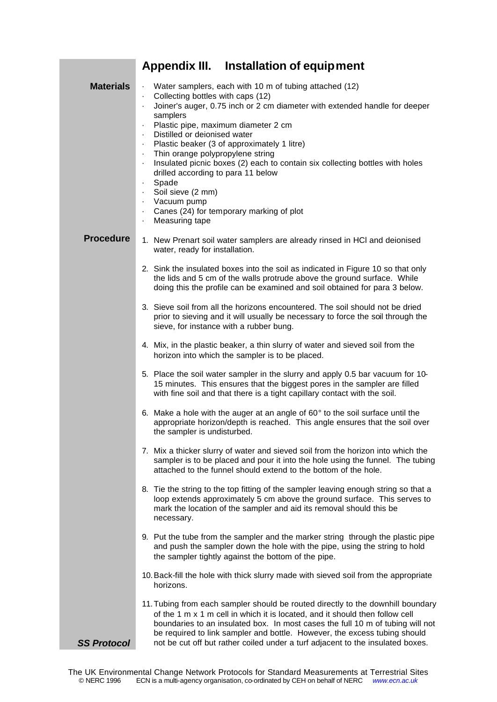|                    | Appendix III. Installation of equipment                                                                                                                                                                                                                                                                                                                                                                                                                                                                                                                                                            |  |  |  |
|--------------------|----------------------------------------------------------------------------------------------------------------------------------------------------------------------------------------------------------------------------------------------------------------------------------------------------------------------------------------------------------------------------------------------------------------------------------------------------------------------------------------------------------------------------------------------------------------------------------------------------|--|--|--|
| <b>Materials</b>   | Water samplers, each with 10 m of tubing attached (12)<br>Collecting bottles with caps (12)<br>Joiner's auger, 0.75 inch or 2 cm diameter with extended handle for deeper<br>samplers<br>Plastic pipe, maximum diameter 2 cm<br>Distilled or deionised water<br>Plastic beaker (3 of approximately 1 litre)<br>Thin orange polypropylene string<br>Insulated picnic boxes (2) each to contain six collecting bottles with holes<br>drilled according to para 11 below<br>Spade<br>Soil sieve (2 mm)<br>Vacuum pump<br>Canes (24) for temporary marking of plot<br>Measuring tape<br>$\blacksquare$ |  |  |  |
| <b>Procedure</b>   | 1. New Prenart soil water samplers are already rinsed in HCI and deionised<br>water, ready for installation.                                                                                                                                                                                                                                                                                                                                                                                                                                                                                       |  |  |  |
|                    | 2. Sink the insulated boxes into the soil as indicated in Figure 10 so that only<br>the lids and 5 cm of the walls protrude above the ground surface. While<br>doing this the profile can be examined and soil obtained for para 3 below.                                                                                                                                                                                                                                                                                                                                                          |  |  |  |
|                    | 3. Sieve soil from all the horizons encountered. The soil should not be dried<br>prior to sieving and it will usually be necessary to force the soil through the<br>sieve, for instance with a rubber bung.                                                                                                                                                                                                                                                                                                                                                                                        |  |  |  |
|                    | 4. Mix, in the plastic beaker, a thin slurry of water and sieved soil from the<br>horizon into which the sampler is to be placed.                                                                                                                                                                                                                                                                                                                                                                                                                                                                  |  |  |  |
|                    | 5. Place the soil water sampler in the slurry and apply 0.5 bar vacuum for 10-<br>15 minutes. This ensures that the biggest pores in the sampler are filled<br>with fine soil and that there is a tight capillary contact with the soil.                                                                                                                                                                                                                                                                                                                                                           |  |  |  |
|                    | 6. Make a hole with the auger at an angle of 60° to the soil surface until the<br>appropriate horizon/depth is reached. This angle ensures that the soil over<br>the sampler is undisturbed.                                                                                                                                                                                                                                                                                                                                                                                                       |  |  |  |
|                    | 7. Mix a thicker slurry of water and sieved soil from the horizon into which the<br>sampler is to be placed and pour it into the hole using the funnel. The tubing<br>attached to the funnel should extend to the bottom of the hole.                                                                                                                                                                                                                                                                                                                                                              |  |  |  |
|                    | 8. Tie the string to the top fitting of the sampler leaving enough string so that a<br>loop extends approximately 5 cm above the ground surface. This serves to<br>mark the location of the sampler and aid its removal should this be<br>necessary.                                                                                                                                                                                                                                                                                                                                               |  |  |  |
|                    | 9. Put the tube from the sampler and the marker string through the plastic pipe<br>and push the sampler down the hole with the pipe, using the string to hold<br>the sampler tightly against the bottom of the pipe.                                                                                                                                                                                                                                                                                                                                                                               |  |  |  |
|                    | 10. Back-fill the hole with thick slurry made with sieved soil from the appropriate<br>horizons.                                                                                                                                                                                                                                                                                                                                                                                                                                                                                                   |  |  |  |
| <b>SS Protocol</b> | 11. Tubing from each sampler should be routed directly to the downhill boundary<br>of the 1 m x 1 m cell in which it is located, and it should then follow cell<br>boundaries to an insulated box. In most cases the full 10 m of tubing will not<br>be required to link sampler and bottle. However, the excess tubing should<br>not be cut off but rather coiled under a turf adjacent to the insulated boxes.                                                                                                                                                                                   |  |  |  |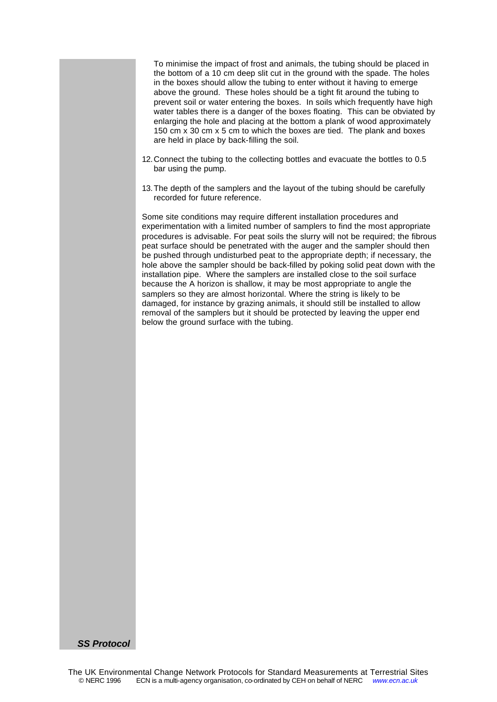To minimise the impact of frost and animals, the tubing should be placed in the bottom of a 10 cm deep slit cut in the ground with the spade. The holes in the boxes should allow the tubing to enter without it having to emerge above the ground. These holes should be a tight fit around the tubing to prevent soil or water entering the boxes. In soils which frequently have high water tables there is a danger of the boxes floating. This can be obviated by enlarging the hole and placing at the bottom a plank of wood approximately 150 cm x 30 cm x 5 cm to which the boxes are tied. The plank and boxes are held in place by back-filling the soil.

- 12.Connect the tubing to the collecting bottles and evacuate the bottles to 0.5 bar using the pump.
- 13.The depth of the samplers and the layout of the tubing should be carefully recorded for future reference.

Some site conditions may require different installation procedures and experimentation with a limited number of samplers to find the most appropriate procedures is advisable. For peat soils the slurry will not be required; the fibrous peat surface should be penetrated with the auger and the sampler should then be pushed through undisturbed peat to the appropriate depth; if necessary, the hole above the sampler should be back-filled by poking solid peat down with the installation pipe. Where the samplers are installed close to the soil surface because the A horizon is shallow, it may be most appropriate to angle the samplers so they are almost horizontal. Where the string is likely to be damaged, for instance by grazing animals, it should still be installed to allow removal of the samplers but it should be protected by leaving the upper end below the ground surface with the tubing.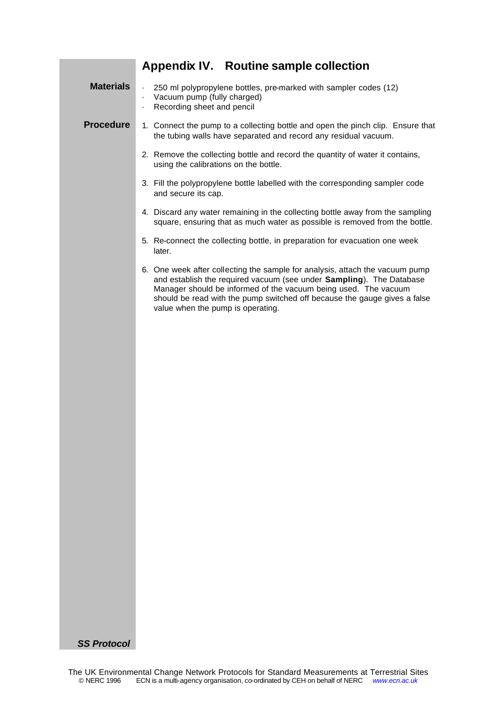# **Appendix IV. Routine sample collection**

| <b>Materials</b> | 250 ml polypropylene bottles, pre-marked with sampler codes (12)<br>Vacuum pump (fully charged)<br>$\blacksquare$<br>Recording sheet and pencil<br>ï                                                                                                                                                                                      |
|------------------|-------------------------------------------------------------------------------------------------------------------------------------------------------------------------------------------------------------------------------------------------------------------------------------------------------------------------------------------|
| <b>Procedure</b> | 1. Connect the pump to a collecting bottle and open the pinch clip. Ensure that<br>the tubing walls have separated and record any residual vacuum.                                                                                                                                                                                        |
|                  | 2. Remove the collecting bottle and record the quantity of water it contains,<br>using the calibrations on the bottle.                                                                                                                                                                                                                    |
|                  | 3. Fill the polypropylene bottle labelled with the corresponding sampler code<br>and secure its cap.                                                                                                                                                                                                                                      |
|                  | 4. Discard any water remaining in the collecting bottle away from the sampling<br>square, ensuring that as much water as possible is removed from the bottle.                                                                                                                                                                             |
|                  | 5. Re-connect the collecting bottle, in preparation for evacuation one week<br>later.                                                                                                                                                                                                                                                     |
|                  | 6. One week after collecting the sample for analysis, attach the vacuum pump<br>and establish the required vacuum (see under Sampling). The Database<br>Manager should be informed of the vacuum being used. The vacuum<br>should be read with the pump switched off because the gauge gives a false<br>value when the pump is operating. |
|                  |                                                                                                                                                                                                                                                                                                                                           |
|                  |                                                                                                                                                                                                                                                                                                                                           |
|                  |                                                                                                                                                                                                                                                                                                                                           |
|                  |                                                                                                                                                                                                                                                                                                                                           |
|                  |                                                                                                                                                                                                                                                                                                                                           |